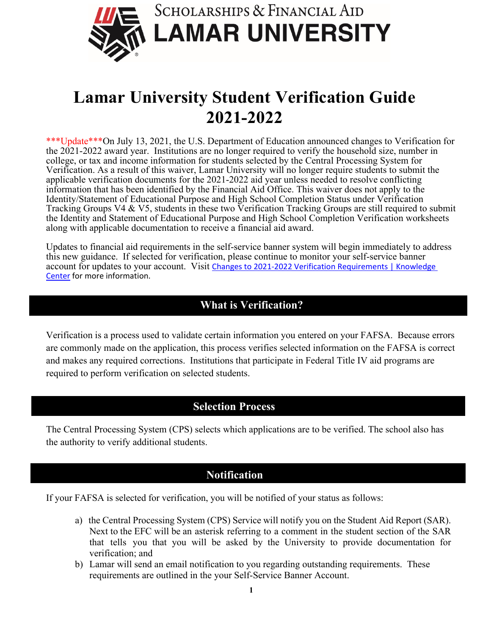

## **Lamar University Student Verification Guide 2021-2022**

\*\*\*Update\*\*\*On July 13, 2021, the U.S. Department of Education announced changes to Verification for the 2021-2022 award year. Institutions are no longer required to verify the household size, number in college, or tax and income information for students selected by the Central Processing System for Verification. As a result of this waiver, Lamar University will no longer require students to submit the applicable verification documents for the 2021-2022 aid year unless needed to resolve conflicting information that has been identified by the Financial Aid Office. This waiver does not apply to the Identity/Statement of Educational Purpose and High School Completion Status under Verification Tracking Groups V4 & V5, students in these two Verification Tracking Groups are still required to submit the Identity and Statement of Educational Purpose and High School Completion Verification worksheets along with applicable documentation to receive a financial aid award.

Updates to financial aid requirements in the self-service banner system will begin immediately to address this new guidance. If selected for verification, please continue to monitor your self-service banner account for updates to your account. Visit Changes to 2021-2022 Verification Requirements | Knowledge [Center](https://fsapartners.ed.gov/knowledge-center/library/dear-colleague-letters/2021-07-13/changes-2021-2022-verification-requirements) for more information.

## **What is Verification?**

Verification is a process used to validate certain information you entered on your FAFSA. Because errors are commonly made on the application, this process verifies selected information on the FAFSA is correct and makes any required corrections. Institutions that participate in Federal Title IV aid programs are required to perform verification on selected students.

## **Selection Process**

The Central Processing System (CPS) selects which applications are to be verified. The school also has the authority to verify additional students.

## **Notification**

If your FAFSA is selected for verification, you will be notified of your status as follows:

- a) the Central Processing System (CPS) Service will notify you on the Student Aid Report (SAR). Next to the EFC will be an asterisk referring to a comment in the student section of the SAR that tells you that you will be asked by the University to provide documentation for verification; and
- b) Lamar will send an email notification to you regarding outstanding requirements. These requirements are outlined in the your Self-Service Banner Account.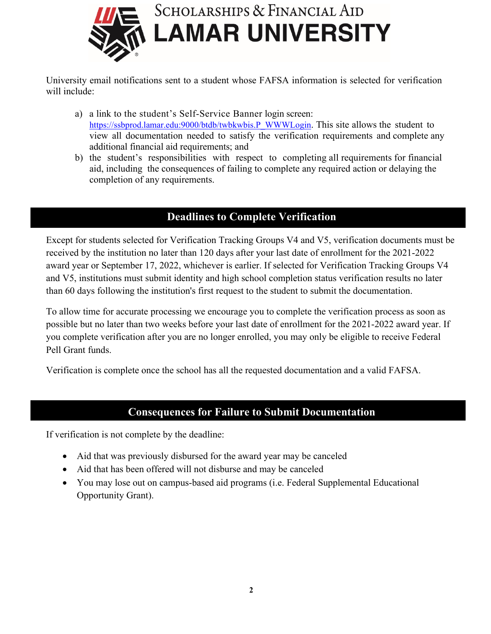

University email notifications sent to a student whose FAFSA information is selected for verification will include:

- a) a link to the student's Self-Service Banner login screen: [https://ssbprod.lamar.edu:9000/btdb/twbkwbis.P\\_WWWLogin.](https://ssbprod.lamar.edu:9000/btdb/twbkwbis.P_WWWLogin) This site allows the student to view all documentation needed to satisfy the verification requirements and complete any additional financial aid requirements; and
- b) the student's responsibilities with respect to completing all requirements for financial aid, including the consequences of failing to complete any required action or delaying the completion of any requirements.

## **Deadlines to Complete Verification**

Except for students selected for Verification Tracking Groups V4 and V5, verification documents must be received by the institution no later than 120 days after your last date of enrollment for the 2021-2022 award year or September 17, 2022, whichever is earlier. If selected for Verification Tracking Groups V4 and V5, institutions must submit identity and high school completion status verification results no later than 60 days following the institution's first request to the student to submit the documentation.

To allow time for accurate processing we encourage you to complete the verification process as soon as possible but no later than two weeks before your last date of enrollment for the 2021-2022 award year. If you complete verification after you are no longer enrolled, you may only be eligible to receive Federal Pell Grant funds.

Verification is complete once the school has all the requested documentation and a valid FAFSA.

## **Consequences for Failure to Submit Documentation**

If verification is not complete by the deadline:

- Aid that was previously disbursed for the award year may be canceled
- Aid that has been offered will not disburse and may be canceled
- You may lose out on campus-based aid programs (i.e. Federal Supplemental Educational Opportunity Grant).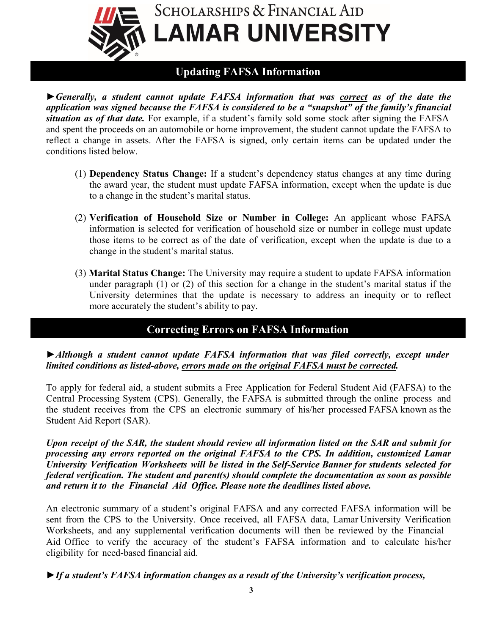

## **Updating FAFSA Information**

*►Generally, a student cannot update FAFSA information that was correct as of the date the application was signed because the FAFSA is considered to be a "snapshot" of the family's financial situation as of that date.* For example, if a student's family sold some stock after signing the FAFSA and spent the proceeds on an automobile or home improvement, the student cannot update the FAFSA to reflect a change in assets. After the FAFSA is signed, only certain items can be updated under the conditions listed below.

- (1) **Dependency Status Change:** If a student's dependency status changes at any time during the award year, the student must update FAFSA information, except when the update is due to a change in the student's marital status.
- (2) **Verification of Household Size or Number in College:** An applicant whose FAFSA information is selected for verification of household size or number in college must update those items to be correct as of the date of verification, except when the update is due to a change in the student's marital status.
- (3) **Marital Status Change:** The University may require a student to update FAFSA information under paragraph (1) or (2) of this section for a change in the student's marital status if the University determines that the update is necessary to address an inequity or to reflect more accurately the student's ability to pay.

## **Correcting Errors on FAFSA Information**

#### *►Although a student cannot update FAFSA information that was filed correctly, except under limited conditions as listed-above, errors made on the original FAFSA must be corrected.*

To apply for federal aid, a student submits a Free Application for Federal Student Aid (FAFSA) to the Central Processing System (CPS). Generally, the FAFSA is submitted through the online process and the student receives from the CPS an electronic summary of his/her processed FAFSA known as the Student Aid Report (SAR).

Upon receipt of the SAR, the student should review all information listed on the SAR and submit for *processing any errors reported on the original FAFSA to the CPS. In addition, customized Lamar University Verification Worksheets will be listed in the Self-Service Banner for students selected for federal verification. The student and parent(s) should complete the documentation as soon as possible and return it to the Financial Aid Office. Please note the deadlines listed above.*

An electronic summary of a student's original FAFSA and any corrected FAFSA information will be sent from the CPS to the University. Once received, all FAFSA data, Lamar University Verification Worksheets, and any supplemental verification documents will then be reviewed by the Financial Aid Office to verify the accuracy of the student's FAFSA information and to calculate his/her eligibility for need-based financial aid.

*►If a student's FAFSA information changes as a result of the University's verification process,*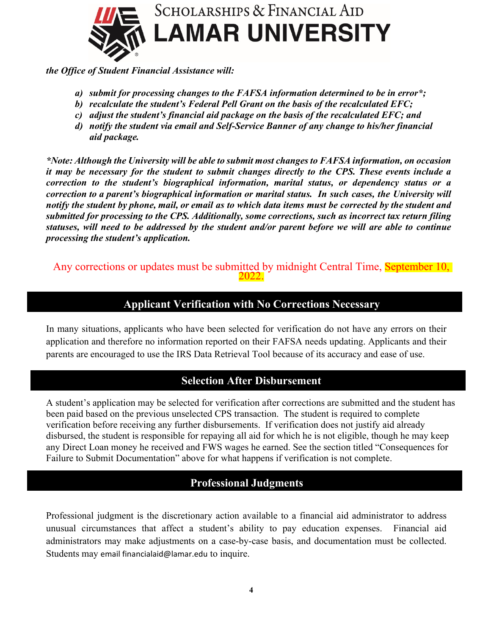

*the Office of Student Financial Assistance will:*

- *a) submit for processing changes to the FAFSA information determined to be in error\*;*
- *b) recalculate the student's Federal Pell Grant on the basis of the recalculated EFC;*
- *c) adjust the student's financial aid package on the basis of the recalculated EFC; and*
- *d) notify the student via email and Self-Service Banner of any change to his/her financial aid package.*

*\*Note: Although the University will be able to submit most changes to FAFSA information, on occasion it may be necessary for the student to submit changes directly to the CPS. These events include a correction to the student's biographical information, marital status, or dependency status or a correction to a parent's biographical information or marital status. In such cases, the University will notify the student by phone, mail, or email as to which data items must be corrected by the student and submitted for processing to the CPS. Additionally, some corrections, such as incorrect tax return filing statuses, will need to be addressed by the student and/or parent before we will are able to continue processing the student's application.* 

Any corrections or updates must be submitted by midnight Central Time, September 10,

## **Applicant Verification with No Corrections Necessary**

In many situations, applicants who have been selected for verification do not have any errors on their application and therefore no information reported on their FAFSA needs updating. Applicants and their parents are encouraged to use the IRS Data Retrieval Tool because of its accuracy and ease of use.

## **Selection After Disbursement**

A student's application may be selected for verification after corrections are submitted and the student has been paid based on the previous unselected CPS transaction. The student is required to complete verification before receiving any further disbursements. If verification does not justify aid already disbursed, the student is responsible for repaying all aid for which he is not eligible, though he may keep any Direct Loan money he received and FWS wages he earned. See the section titled "Consequences for Failure to Submit Documentation" above for what happens if verification is not complete.

## **Professional Judgments**

Professional judgment is the discretionary action available to a financial aid administrator to address unusual circumstances that affect a student's ability to pay education expenses. Financial aid administrators may make adjustments on a case-by-case basis, and documentation must be collected. Students may email financialaid@lamar.edu to inquire.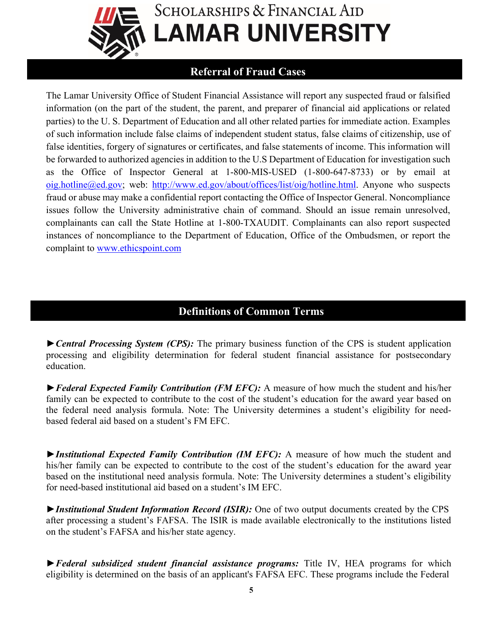

# **SCHOLARSHIPS & FINANCIAL AID LAMAR UNIVERSITY**

## **Referral of Fraud Cases**

The Lamar University Office of Student Financial Assistance will report any suspected fraud or falsified information (on the part of the student, the parent, and preparer of financial aid applications or related parties) to the U. S. Department of Education and all other related parties for immediate action. Examples of such information include false claims of independent student status, false claims of citizenship, use of false identities, forgery of signatures or certificates, and false statements of income. This information will be forwarded to authorized agencies in addition to the U.S Department of Education for investigation such as the Office of Inspector General at 1-800-MIS-USED (1-800-647-8733) or by email at [oig.hotline@ed.gov;](mailto:oig.hotline@ed.gov) web: [http://www.ed.gov/about/offices/list/oig/hotline.html.](http://www.ed.gov/about/offices/list/oig/hotline.html) Anyone who suspects fraud or abuse may make a confidential report contacting the Office of Inspector General. Noncompliance issues follow the University administrative chain of command. Should an issue remain unresolved, complainants can call the State Hotline at 1-800-TXAUDIT. Complainants can also report suspected instances of noncompliance to the Department of Education, Office of the Ombudsmen, or report the complaint to [www.ethicspoint.com](http://www.ethicspoint.com/)

## **Definitions of Common Terms**

*►Central Processing System (CPS):* The primary business function of the CPS is student application processing and eligibility determination for federal student financial assistance for postsecondary education.

*►Federal Expected Family Contribution (FM EFC):* A measure of how much the student and his/her family can be expected to contribute to the cost of the student's education for the award year based on the federal need analysis formula. Note: The University determines a student's eligibility for needbased federal aid based on a student's FM EFC.

*►Institutional Expected Family Contribution (IM EFC):* A measure of how much the student and his/her family can be expected to contribute to the cost of the student's education for the award year based on the institutional need analysis formula. Note: The University determines a student's eligibility for need-based institutional aid based on a student's IM EFC.

*►Institutional Student Information Record (ISIR):* One of two output documents created by the CPS after processing a student's FAFSA. The ISIR is made available electronically to the institutions listed on the student's FAFSA and his/her state agency.

*►Federal subsidized student financial assistance programs:* Title IV, HEA programs for which eligibility is determined on the basis of an applicant's FAFSA EFC. These programs include the Federal